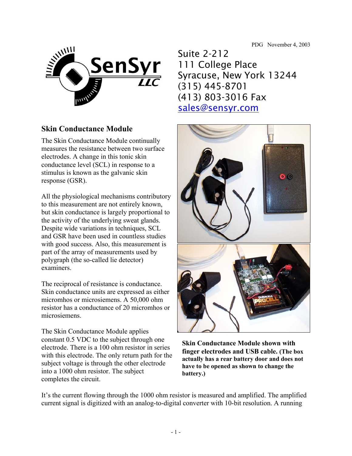PDG November 4, 2003



## **Skin Conductance Module**

The Skin Conductance Module continually measures the resistance between two surface electrodes. A change in this tonic skin conductance level (SCL) in response to a stimulus is known as the galvanic skin response (GSR).

All the physiological mechanisms contributory to this measurement are not entirely known, but skin conductance is largely proportional to the activity of the underlying sweat glands. Despite wide variations in techniques, SCL and GSR have been used in countless studies with good success. Also, this measurement is part of the array of measurements used by polygraph (the so-called lie detector) examiners.

The reciprocal of resistance is conductance. Skin conductance units are expressed as either micromhos or microsiemens. A 50,000 ohm resistor has a conductance of 20 micromhos or microsiemens.

The Skin Conductance Module applies constant 0.5 VDC to the subject through one electrode. There is a 100 ohm resistor in series with this electrode. The only return path for the subject voltage is through the other electrode into a 1000 ohm resistor. The subject completes the circuit.

Suite 2-212 111 College Place Syracuse, New York 13244 (315) 445-8701 (413) 803-3016 Fax sales@sensyr.com



**Skin Conductance Module shown with finger electrodes and USB cable. (The box actually has a rear battery door and does not have to be opened as shown to change the battery.)** 

It's the current flowing through the 1000 ohm resistor is measured and amplified. The amplified current signal is digitized with an analog-to-digital converter with 10-bit resolution. A running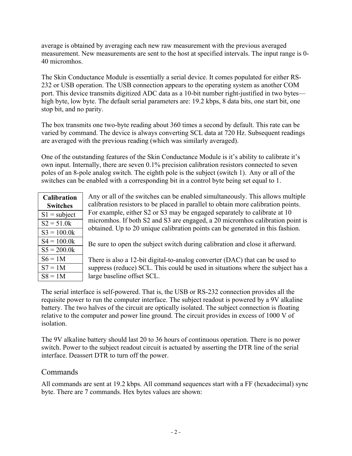average is obtained by averaging each new raw measurement with the previous averaged measurement. New measurements are sent to the host at specified intervals. The input range is 0- 40 micromhos.

The Skin Conductance Module is essentially a serial device. It comes populated for either RS-232 or USB operation. The USB connection appears to the operating system as another COM port. This device transmits digitized ADC data as a 10-bit number right-justified in two bytes high byte, low byte. The default serial parameters are: 19.2 kbps, 8 data bits, one start bit, one stop bit, and no parity.

The box transmits one two-byte reading about 360 times a second by default. This rate can be varied by command. The device is always converting SCL data at 720 Hz. Subsequent readings are averaged with the previous reading (which was similarly averaged).

One of the outstanding features of the Skin Conductance Module is it's ability to calibrate it's own input. Internally, there are seven 0.1% precision calibration resistors connected to seven poles of an 8-pole analog switch. The eighth pole is the subject (switch 1). Any or all of the switches can be enabled with a corresponding bit in a control byte being set equal to 1.

| <b>Calibration</b> |
|--------------------|
| Switches           |
| $S1 =$ subject     |
| $S2 = 51.0k$       |
| $S3 = 100.0k$      |
| $S4 = 100.0k$      |
| $S_5 = 200.0k$     |
| $S6 = 1M$          |
| $S7 = 1M$          |
| $S8 = 1M$          |

Any or all of the switches can be enabled simultaneously. This allows multiple calibration resistors to be placed in parallel to obtain more calibration points. For example, either S2 or S3 may be engaged separately to calibrate at 10 micromhos. If both S2 and S3 are engaged, a 20 micromhos calibration point is obtained. Up to 20 unique calibration points can be generated in this fashion.

Be sure to open the subject switch during calibration and close it afterward.

There is also a 12-bit digital-to-analog converter (DAC) that can be used to suppress (reduce) SCL. This could be used in situations where the subject has a large baseline offset SCL.

The serial interface is self-powered. That is, the USB or RS-232 connection provides all the requisite power to run the computer interface. The subject readout is powered by a 9V alkaline battery. The two halves of the circuit are optically isolated. The subject connection is floating relative to the computer and power line ground. The circuit provides in excess of 1000 V of isolation.

The 9V alkaline battery should last 20 to 36 hours of continuous operation. There is no power switch. Power to the subject readout circuit is actuated by asserting the DTR line of the serial interface. Deassert DTR to turn off the power.

## Commands

All commands are sent at 19.2 kbps. All command sequences start with a FF (hexadecimal) sync byte. There are 7 commands. Hex bytes values are shown: